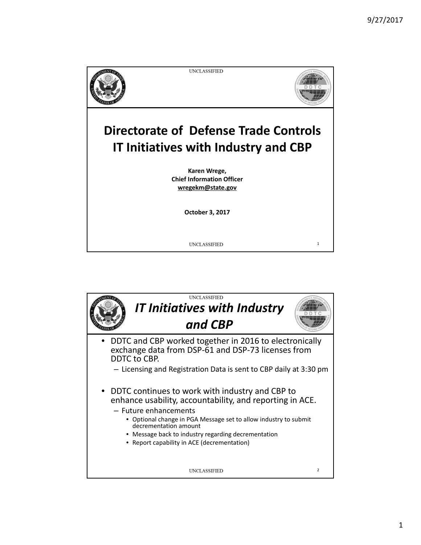

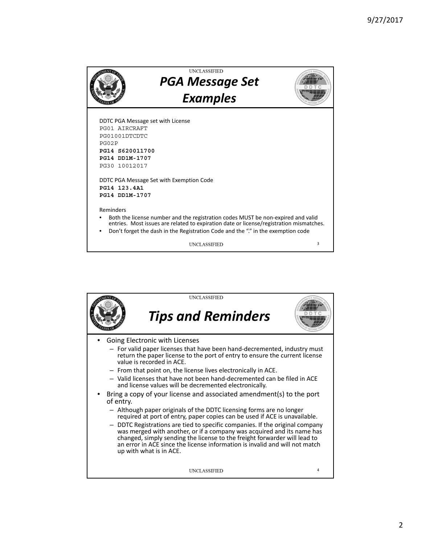

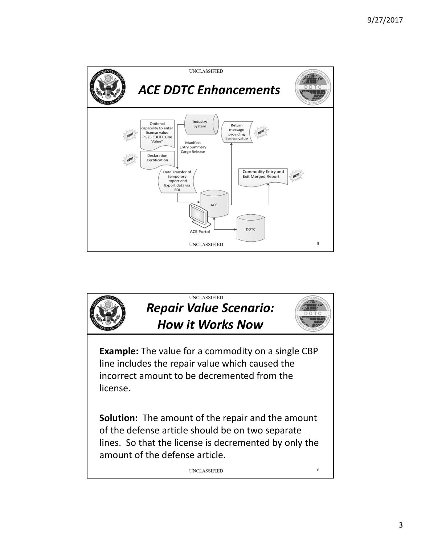